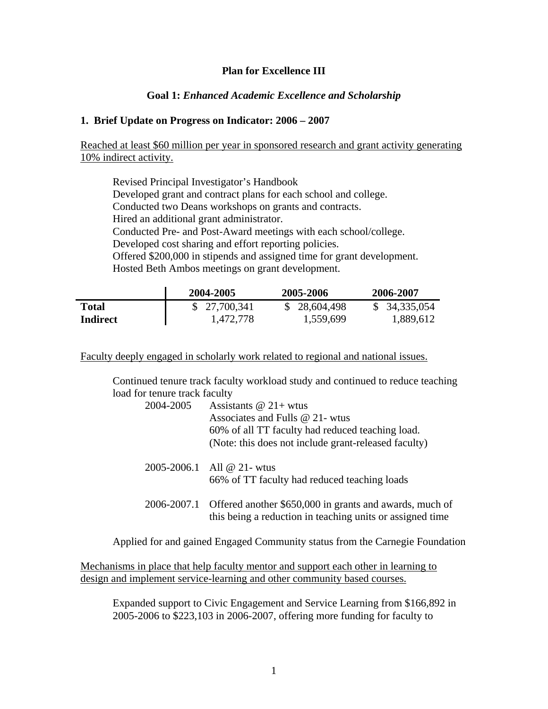# **Plan for Excellence III**

# **Goal 1:** *Enhanced Academic Excellence and Scholarship*

#### **1. Brief Update on Progress on Indicator: 2006 – 2007**

Reached at least \$60 million per year in sponsored research and grant activity generating 10% indirect activity.

 Revised Principal Investigator's Handbook Developed grant and contract plans for each school and college. Conducted two Deans workshops on grants and contracts. Hired an additional grant administrator. Conducted Pre- and Post-Award meetings with each school/college. Developed cost sharing and effort reporting policies. Offered \$200,000 in stipends and assigned time for grant development. Hosted Beth Ambos meetings on grant development.

|          | 2004-2005    | 2005-2006    | 2006-2007    |
|----------|--------------|--------------|--------------|
| Total    | \$27,700,341 | \$28,604,498 | \$34,335,054 |
| Indirect | 1,472,778    | 1,559,699    | 1,889,612    |

Faculty deeply engaged in scholarly work related to regional and national issues.

Continued tenure track faculty workload study and continued to reduce teaching load for tenure track faculty

| 2004-2005 | Assistants $@21+wtus$<br>Associates and Fulls @ 21- wtus<br>60% of all TT faculty had reduced teaching load.<br>(Note: this does not include grant-released faculty) |
|-----------|----------------------------------------------------------------------------------------------------------------------------------------------------------------------|
|           | 2005-2006.1 All @ 21- wtus<br>66% of TT faculty had reduced teaching loads                                                                                           |
|           | 2006-2007.1 Offered another \$650,000 in grants and awards, much of<br>this being a reduction in teaching units or assigned time                                     |

Applied for and gained Engaged Community status from the Carnegie Foundation

Mechanisms in place that help faculty mentor and support each other in learning to design and implement service-learning and other community based courses.

Expanded support to Civic Engagement and Service Learning from \$166,892 in 2005-2006 to \$223,103 in 2006-2007, offering more funding for faculty to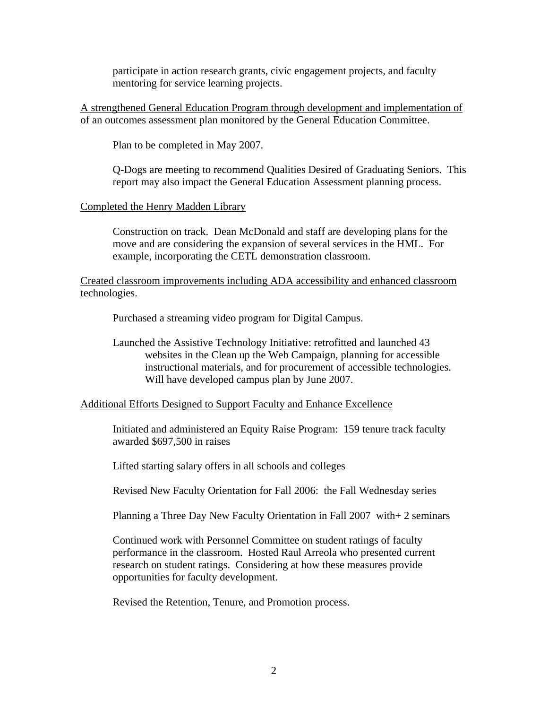participate in action research grants, civic engagement projects, and faculty mentoring for service learning projects.

A strengthened General Education Program through development and implementation of of an outcomes assessment plan monitored by the General Education Committee.

Plan to be completed in May 2007.

Q-Dogs are meeting to recommend Qualities Desired of Graduating Seniors. This report may also impact the General Education Assessment planning process.

### Completed the Henry Madden Library

Construction on track. Dean McDonald and staff are developing plans for the move and are considering the expansion of several services in the HML. For example, incorporating the CETL demonstration classroom.

Created classroom improvements including ADA accessibility and enhanced classroom technologies.

Purchased a streaming video program for Digital Campus.

Launched the Assistive Technology Initiative: retrofitted and launched 43 websites in the Clean up the Web Campaign, planning for accessible instructional materials, and for procurement of accessible technologies. Will have developed campus plan by June 2007.

### Additional Efforts Designed to Support Faculty and Enhance Excellence

Initiated and administered an Equity Raise Program: 159 tenure track faculty awarded \$697,500 in raises

Lifted starting salary offers in all schools and colleges

Revised New Faculty Orientation for Fall 2006: the Fall Wednesday series

Planning a Three Day New Faculty Orientation in Fall 2007 with+ 2 seminars

Continued work with Personnel Committee on student ratings of faculty performance in the classroom. Hosted Raul Arreola who presented current research on student ratings. Considering at how these measures provide opportunities for faculty development.

Revised the Retention, Tenure, and Promotion process.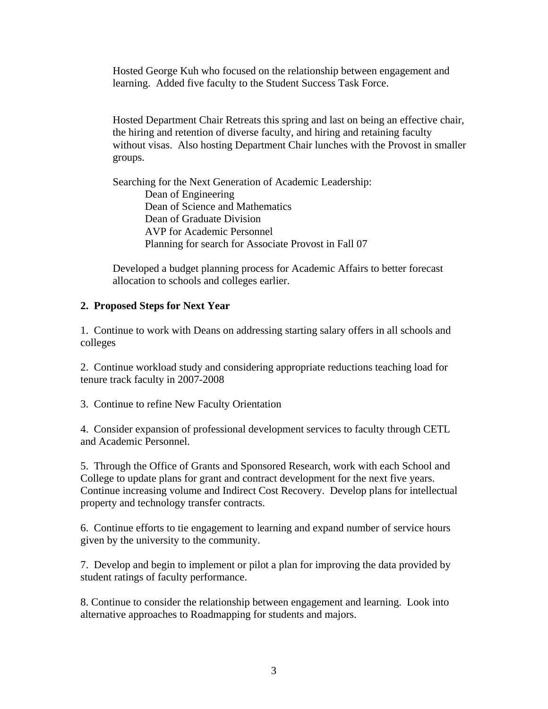Hosted George Kuh who focused on the relationship between engagement and learning. Added five faculty to the Student Success Task Force.

Hosted Department Chair Retreats this spring and last on being an effective chair, the hiring and retention of diverse faculty, and hiring and retaining faculty without visas. Also hosting Department Chair lunches with the Provost in smaller groups.

Searching for the Next Generation of Academic Leadership: Dean of Engineering Dean of Science and Mathematics Dean of Graduate Division AVP for Academic Personnel Planning for search for Associate Provost in Fall 07

Developed a budget planning process for Academic Affairs to better forecast allocation to schools and colleges earlier.

### **2. Proposed Steps for Next Year**

1. Continue to work with Deans on addressing starting salary offers in all schools and colleges

2. Continue workload study and considering appropriate reductions teaching load for tenure track faculty in 2007-2008

3. Continue to refine New Faculty Orientation

4. Consider expansion of professional development services to faculty through CETL and Academic Personnel.

5. Through the Office of Grants and Sponsored Research, work with each School and College to update plans for grant and contract development for the next five years. Continue increasing volume and Indirect Cost Recovery. Develop plans for intellectual property and technology transfer contracts.

6. Continue efforts to tie engagement to learning and expand number of service hours given by the university to the community.

7. Develop and begin to implement or pilot a plan for improving the data provided by student ratings of faculty performance.

8. Continue to consider the relationship between engagement and learning. Look into alternative approaches to Roadmapping for students and majors.